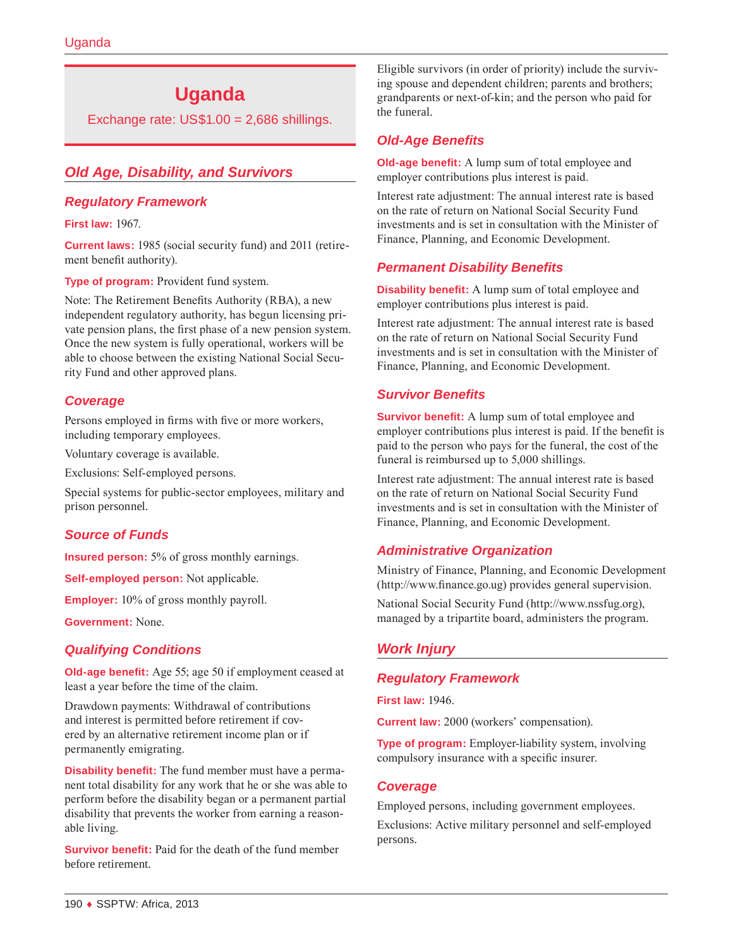# **Uganda**

Exchange rate:  $US$1.00 = 2,686$  shillings.

# *Old Age, Disability, and Survivors*

# *Regulatory Framework*

**First law:** 1967.

**Current laws:** 1985 (social security fund) and 2011 (retirement benefit authority).

**Type of program:** Provident fund system.

Note: The Retirement Benefits Authority (RBA), a new independent regulatory authority, has begun licensing private pension plans, the first phase of a new pension system. Once the new system is fully operational, workers will be able to choose between the existing National Social Security Fund and other approved plans.

# *Coverage*

Persons employed in firms with five or more workers, including temporary employees.

Voluntary coverage is available.

Exclusions: Self-employed persons.

Special systems for public-sector employees, military and prison personnel.

# *Source of Funds*

**Insured person:** 5% of gross monthly earnings.

**Self-employed person:** Not applicable.

**Employer:** 10% of gross monthly payroll.

**Government:** None.

# *Qualifying Conditions*

**Old-age benefit:** Age 55; age 50 if employment ceased at least a year before the time of the claim.

Drawdown payments: Withdrawal of contributions and interest is permitted before retirement if covered by an alternative retirement income plan or if permanently emigrating.

**Disability benefit:** The fund member must have a permanent total disability for any work that he or she was able to perform before the disability began or a permanent partial disability that prevents the worker from earning a reasonable living.

**Survivor benefit:** Paid for the death of the fund member before retirement.

Eligible survivors (in order of priority) include the surviving spouse and dependent children; parents and brothers; grandparents or next-of-kin; and the person who paid for the funeral.

# *Old-Age Benefits*

**Old-age benefit:** A lump sum of total employee and employer contributions plus interest is paid.

Interest rate adjustment: The annual interest rate is based on the rate of return on National Social Security Fund investments and is set in consultation with the Minister of Finance, Planning, and Economic Development.

# *Permanent Disability Benefits*

**Disability benefit:** A lump sum of total employee and employer contributions plus interest is paid.

Interest rate adjustment: The annual interest rate is based on the rate of return on National Social Security Fund investments and is set in consultation with the Minister of Finance, Planning, and Economic Development.

# *Survivor Benefits*

**Survivor benefit:** A lump sum of total employee and employer contributions plus interest is paid. If the benefit is paid to the person who pays for the funeral, the cost of the funeral is reimbursed up to 5,000 shillings.

Interest rate adjustment: The annual interest rate is based on the rate of return on National Social Security Fund investments and is set in consultation with the Minister of Finance, Planning, and Economic Development.

# *Administrative Organization*

Ministry of Finance, Planning, and Economic Development (<http://www.finance.go.ug>) provides general supervision.

National Social Security Fund [\(http://www.nssfug.org](http://www.nssfug.org)), managed by a tripartite board, administers the program.

# *Work Injury*

#### *Regulatory Framework*

**First law:** 1946.

**Current law:** 2000 (workers' compensation).

**Type of program:** Employer-liability system, involving compulsory insurance with a specific insurer.

#### *Coverage*

Employed persons, including government employees.

Exclusions: Active military personnel and self-employed persons.